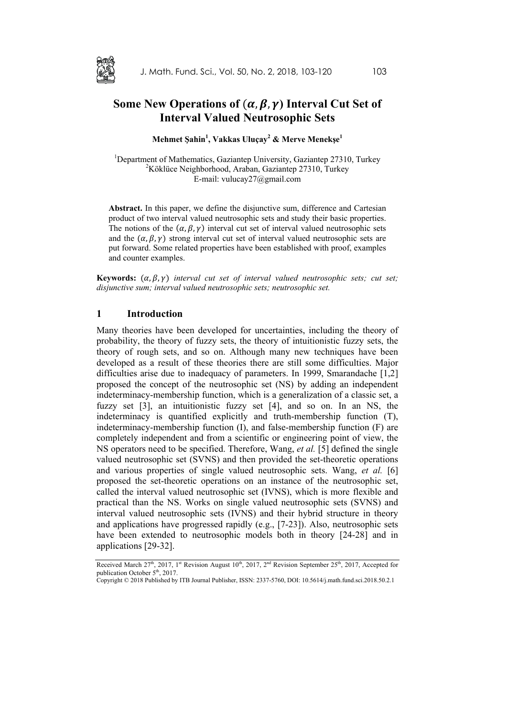

# **Some New Operations of**  $(\alpha, \beta, \gamma)$  **Interval Cut Set of Interval Valued Neutrosophic Sets**

**Mehmet Şahin<sup>1</sup> , Vakkas Uluçay<sup>2</sup> & Merve Menekşe1** 

<sup>1</sup>Department of Mathematics, Gaziantep University, Gaziantep 27310, Turkey  $2V$  alcune Noishborhood, Archan Gazianten 27310, Turkey Köklüce Neighborhood, Araban, Gaziantep 27310, Turkey E-mail: vulucay27@gmail.com

**Abstract.** In this paper, we define the disjunctive sum, difference and Cartesian product of two interval valued neutrosophic sets and study their basic properties. The notions of the  $(\alpha, \beta, \gamma)$  interval cut set of interval valued neutrosophic sets and the  $(\alpha, \beta, \gamma)$  strong interval cut set of interval valued neutrosophic sets are put forward. Some related properties have been established with proof, examples and counter examples.

**Keywords:**  $(\alpha, \beta, \gamma)$  interval cut set of interval valued neutrosophic sets; cut set; *disjunctive sum; interval valued neutrosophic sets; neutrosophic set.* 

# **1 Introduction**

Many theories have been developed for uncertainties, including the theory of probability, the theory of fuzzy sets, the theory of intuitionistic fuzzy sets, the theory of rough sets, and so on. Although many new techniques have been developed as a result of these theories there are still some difficulties. Major difficulties arise due to inadequacy of parameters. In 1999, Smarandache [1,2] proposed the concept of the neutrosophic set (NS) by adding an independent indeterminacy-membership function, which is a generalization of a classic set, a fuzzy set [3], an intuitionistic fuzzy set [4], and so on. In an NS, the indeterminacy is quantified explicitly and truth-membership function (T), indeterminacy-membership function (I), and false-membership function (F) are completely independent and from a scientific or engineering point of view, the NS operators need to be specified. Therefore, Wang, *et al.* [5] defined the single valued neutrosophic set (SVNS) and then provided the set-theoretic operations and various properties of single valued neutrosophic sets. Wang, *et al.* [6] proposed the set-theoretic operations on an instance of the neutrosophic set, called the interval valued neutrosophic set (IVNS), which is more flexible and practical than the NS. Works on single valued neutrosophic sets (SVNS) and interval valued neutrosophic sets (IVNS) and their hybrid structure in theory and applications have progressed rapidly (e.g., [7-23]). Also, neutrosophic sets have been extended to neutrosophic models both in theory [24-28] and in applications [29-32].

Received March 27<sup>th</sup>, 2017, 1<sup>st</sup> Revision August 10<sup>th</sup>, 2017, 2<sup>nd</sup> Revision September 25<sup>th</sup>, 2017, Accepted for publication October 5<sup>th</sup>, 2017.

Copyright © 2018 Published by ITB Journal Publisher, ISSN: 2337-5760, DOI: 10.5614/j.math.fund.sci.2018.50.2.1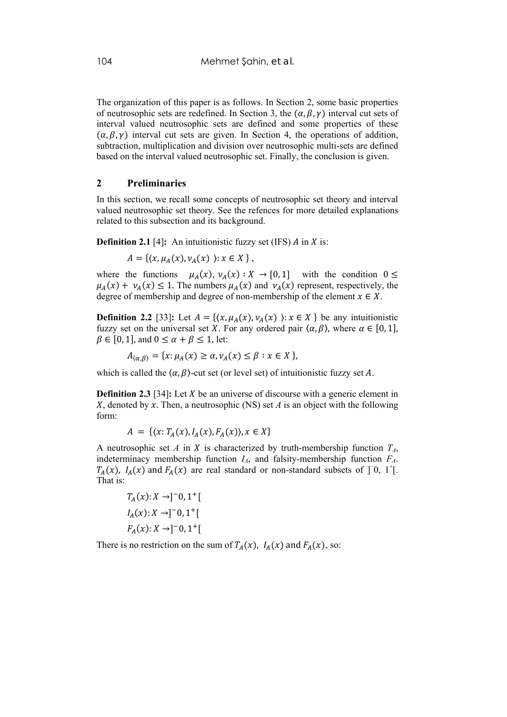The organization of this paper is as follows. In Section 2, some basic properties of neutrosophic sets are redefined. In Section 3, the  $(\alpha, \beta, \gamma)$  interval cut sets of interval valued neutrosophic sets are defined and some properties of these  $(\alpha, \beta, \gamma)$  interval cut sets are given. In Section 4, the operations of addition, subtraction, multiplication and division over neutrosophic multi-sets are defined based on the interval valued neutrosophic set. Finally, the conclusion is given.

# **2 Preliminaries**

In this section, we recall some concepts of neutrosophic set theory and interval valued neutrosophic set theory. See the refences for more detailed explanations related to this subsection and its background.

**Definition 2.1** [4]: An intuitionistic fuzzy set (IFS)  $\vec{A}$  in  $\vec{X}$  is:

 $A = \{ (x, \mu_A(x), \nu_A(x)) : x \in X \}$ ,

where the functions  $\mu_A(x)$ ,  $\nu_A(x) : X \to [0, 1]$  with the condition  $0 \le$  $\mu_A(x) + \nu_A(x) \le 1$ . The numbers  $\mu_A(x)$  and  $\nu_A(x)$  represent, respectively, the degree of membership and degree of non-membership of the element  $x \in X$ .

**Definition 2.2** [33]: Let  $A = \{(x, \mu_A(x), \nu_A(x)) : x \in X\}$  be any intuitionistic fuzzy set on the universal set X. For any ordered pair  $(\alpha, \beta)$ , where  $\alpha \in [0, 1]$ ,  $\beta \in [0, 1]$ , and  $0 \le \alpha + \beta \le 1$ , let:

$$
A_{\langle \alpha, \beta \rangle} = \{x : \mu_A(x) \ge \alpha, \nu_A(x) \le \beta : x \in X\},\
$$

which is called the  $\langle \alpha, \beta \rangle$ -cut set (or level set) of intuitionistic fuzzy set A.

**Definition 2.3** [34]: Let *X* be an universe of discourse with a generic element in X, denoted by x. Then, a neutrosophic (NS) set  $A$  is an object with the following form:

$$
A = \{ \langle x: T_A(x), I_A(x), F_A(x) \rangle, x \in X \}
$$

A neutrosophic set *A* in *X* is characterized by truth-membership function  $T_A$ , indeterminacy membership function  $I_A$ , and falsity-membership function  $F_A$ .  $T_A(x)$ ,  $I_A(x)$  and  $F_A(x)$  are real standard or non-standard subsets of  $\overline{a}$  [0, 1<sup>+</sup>]. That is:

$$
T_A(x): X \to ]-0, 1^+[
$$
  

$$
I_A(x): X \to ]-0, 1^+[
$$
  

$$
F_A(x): X \to ]-0, 1^+[
$$

There is no restriction on the sum of  $T_A(x)$ ,  $I_A(x)$  and  $F_A(x)$ , so: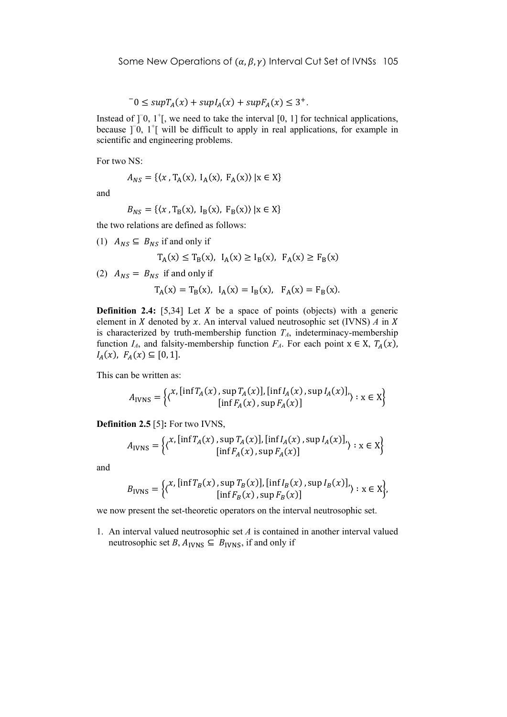$^{-0} \leq \sup T_4(x) + \sup T_4(x) + \sup F_4(x) \leq 3^+$ .

Instead of  $]$ <sup>-</sup>0,  $1^{\dagger}$ , we need to take the interval [0, 1] for technical applications, because  $]$ <sup>-</sup>0, 1<sup>+</sup>[ will be difficult to apply in real applications, for example in scientific and engineering problems.

For two NS:

$$
A_{NS} = \{ (x \, , T_A(x), \, I_A(x), \, F_A(x)) \mid x \in X \}
$$

and

$$
B_{NS} = \{ (x \, , T_B(x), \, I_B(x), \, F_B(x)) \mid x \in X \}
$$

the two relations are defined as follows:

(1)  $A_{NS} \subseteq B_{NS}$  if and only if

$$
T_A(x) \le T_B(x)
$$
,  $I_A(x) \ge I_B(x)$ ,  $F_A(x) \ge F_B(x)$ 

(2)  $A_{NS} = B_{NS}$  if and only if

$$
T_A(x) = T_B(x), I_A(x) = I_B(x), F_A(x) = F_B(x).
$$

**Definition 2.4:** [5,34] Let  $X$  be a space of points (objects) with a generic element in  $X$  denoted by  $x$ . An interval valued neutrosophic set (IVNS)  $A$  in  $X$ is characterized by truth-membership function  $T_A$ , indeterminacy-membership function *I<sub>A</sub>*, and falsity-membership function  $F_A$ . For each point  $x \in X$ ,  $T_A(x)$ ,  $I_A(x)$ ,  $F_A(x) \subseteq [0,1]$ .

This can be written as:

$$
A_{\text{IVNS}} = \left\{ \left\langle x, \left[ \inf T_A(x), \sup T_A(x) \right], \left[ \inf I_A(x), \sup I_A(x) \right], x \in X \right\} \right\}
$$

$$
\left\{ \inf F_A(x), \sup F_A(x) \right\}
$$

**Definition 2.5** [5]**:** For two IVNS,

$$
A_{IVNS} = \left\{ \left\langle x, \left[ \inf T_A(x), \sup T_A(x) \right], \left[ \inf I_A(x), \sup I_A(x) \right] \right\rangle : x \in X \right\}
$$

$$
\left\{ \inf F_A(x), \sup F_A(x) \right\}
$$

and

$$
B_{\text{IVNS}} = \left\{ \left\langle x, \left[ \inf T_B(x), \sup T_B(x) \right], \left[ \inf I_B(x), \sup I_B(x) \right] \right\rangle : x \in X \right\},\
$$

$$
\left\{ \inf F_B(x), \sup F_B(x) \right\}
$$

we now present the set-theoretic operators on the interval neutrosophic set.

1. An interval valued neutrosophic set *A* is contained in another interval valued neutrosophic set *B*,  $A_{IVNS} \subseteq B_{IVNS}$ , if and only if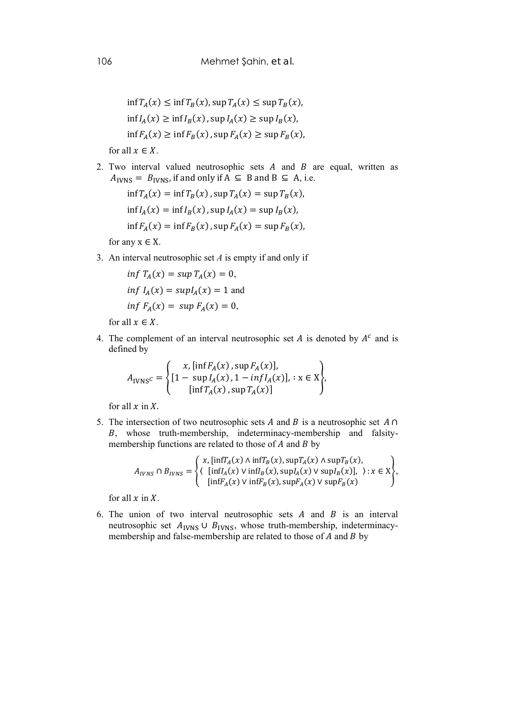$$
\inf T_A(x) \le \inf T_B(x), \sup T_A(x) \le \sup T_B(x),
$$
  

$$
\inf I_A(x) \ge \inf I_B(x), \sup I_A(x) \ge \sup I_B(x),
$$
  

$$
\inf F_A(x) \ge \inf F_B(x), \sup F_A(x) \ge \sup F_B(x),
$$

for all  $x \in X$ .

2. Two interval valued neutrosophic sets  $A$  and  $B$  are equal, written as  $A_{IVNS} = B_{IVNS}$ , if and only if  $A \subseteq B$  and  $B \subseteq A$ , i.e.

$$
\inf T_A(x) = \inf T_B(x), \sup T_A(x) = \sup T_B(x),
$$
  

$$
\inf I_A(x) = \inf I_B(x), \sup I_A(x) = \sup I_B(x),
$$
  

$$
\inf F_A(x) = \inf F_B(x), \sup F_A(x) = \sup F_B(x),
$$

for any  $x \in X$ .

3. An interval neutrosophic set *A* is empty if and only if

$$
\inf T_A(x) = \sup T_A(x) = 0,
$$
  

$$
\inf I_A(x) = \sup I_A(x) = 1
$$
 and  

$$
\inf F_A(x) = \sup F_A(x) = 0,
$$

for all  $x \in X$ .

4. The complement of an interval neutrosophic set  $A$  is denoted by  $A<sup>c</sup>$  and is defined by

$$
A_{\text{IVNS}}c = \begin{cases} x, [\inf F_A(x), \sup F_A(x)], \\ [1 - \sup I_A(x), 1 - \inf I_A(x)], \colon x \in X \\ [\inf T_A(x), \sup T_A(x)] \end{cases},
$$

for all  $x$  in  $X$ .

5. The intersection of two neutrosophic sets A and B is a neutrosophic set  $A \cap$ , whose truth-membership, indeterminacy-membership and falsitymembership functions are related to those of  $A$  and  $B$  by

$$
A_{IVNS} \cap B_{IVNS} = \begin{cases} x, [\inf T_A(x) \land \inf T_B(x), \sup T_A(x) \land \sup T_B(x), \\ (\inf I_A(x) \lor \inf I_B(x), \sup I_A(x) \lor \sup I_B(x)], \quad \forall x \in X \\ [\inf F_A(x) \lor \inf F_B(x), \sup F_A(x) \lor \sup F_B(x)] \end{cases},
$$

for all  $x$  in  $X$ .

6. The union of two interval neutrosophic sets  $A$  and  $B$  is an interval neutrosophic set  $A<sub>IVNS</sub>$  ∪  $B<sub>IVNS</sub>$ , whose truth-membership, indeterminacymembership and false-membership are related to those of  $A$  and  $B$  by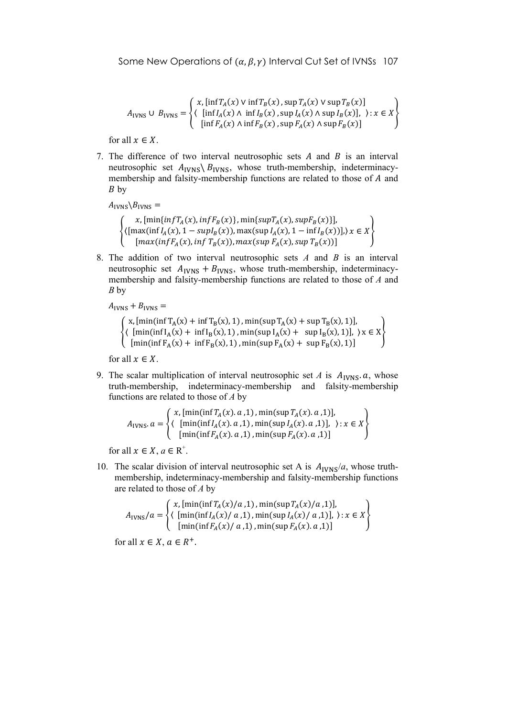$$
A_{\text{IVNS}} \cup B_{\text{IVNS}} = \left\{ \begin{matrix} x, \left[ \inf T_A(x) \vee \inf T_B(x), \sup T_A(x) \vee \sup T_B(x) \right] \\ \left( \left[ \inf I_A(x) \wedge \inf I_B(x), \sup I_A(x) \wedge \sup I_B(x) \right], \right) : x \in X \\ \left[ \inf F_A(x) \wedge \inf F_B(x), \sup F_A(x) \wedge \sup F_B(x) \right] \end{matrix} \right\}
$$

for all  $x \in X$ .

7. The difference of two interval neutrosophic sets  $A$  and  $B$  is an interval neutrosophic set  $A_{IVNS} \ B_{IVNS}$ , whose truth-membership, indeterminacymembership and falsity-membership functions are related to those of  $A$  and  $B\,$  by

 $A_{IVNS} \backslash B_{IVNS} =$ 

$$
\left\{\langle \left[\max(\inf I_A(x), \inf F_B(x)), \max(\sup I_A(x), \sup F_B(x))\right], \left(\left[\max(\inf I_A(x), 1 - \sup I_B(x)), \max(\sup I_A(x), 1 - \inf I_B(x))\right], \right) x \in X \right\}
$$
\n
$$
\left\{\langle \left[\max(\inf F_A(x), \inf T_B(x)), \max(\sup F_A(x), \sup T_B(x))\right] \right\}
$$

8. The addition of two interval neutrosophic sets *A* and *B* is an interval neutrosophic set  $A_{IVNS} + B_{IVNS}$ , whose truth-membership, indeterminacymembership and falsity-membership functions are related to those of *A* and *B* by

 $A_{IVNS} + B_{IVNS} =$ 

ቐ〈 x,  $[\min(\inf T_A(x) + \inf T_B(x), 1)$ ,  $\min(\sup T_A(x) + \sup T_B(x), 1)]$  $[\min(\inf I_A(x) + \inf I_B(x), 1)$ ,  $\min(\sup I_A(x) + \sup I_B(x), 1)]$  $[\min(\inf F_A(x) + \inf F_B(x), 1)$ ,  $\min(\sup F_A(x) + \sup F_B(x), 1)]$  $\{x \in X\}$ 

for all  $x \in X$ .

9. The scalar multiplication of interval neutrosophic set  $A$  is  $A_{IVNS}$ .  $a$ , whose truth-membership, indeterminacy-membership and falsity-membership functions are related to those of *A* by

$$
A_{IVNS}. a = \begin{cases} x, [\min(\inf T_A(x). a, 1), \min(\sup T_A(x). a, 1)], \\ (\min(\inf I_A(x). a, 1), \min(\sup I_A(x). a, 1)], \quad x \in X \\ [\min(\inf F_A(x). a, 1), \min(\sup F_A(x). a, 1)] \end{cases}
$$

for all  $x \in X$ ,  $a \in \mathbb{R}^+$ .

10. The scalar division of interval neutrosophic set A is  $A_{IVNS}/a$ , whose truthmembership, indeterminacy-membership and falsity-membership functions are related to those of *A* by

$$
A_{\text{IVNS}}/a = \begin{cases} x, [\min(\inf T_A(x)/a, 1), \min(\sup T_A(x)/a, 1)], \\ (\min(\inf I_A(x)/a, 1), \min(\sup I_A(x)/a, 1)], \forall x \in X \\ [\min(\inf F_A(x)/a, 1), \min(\sup F_A(x).a, 1)] \end{cases}
$$

for all  $x \in X$ ,  $a \in R^+$ .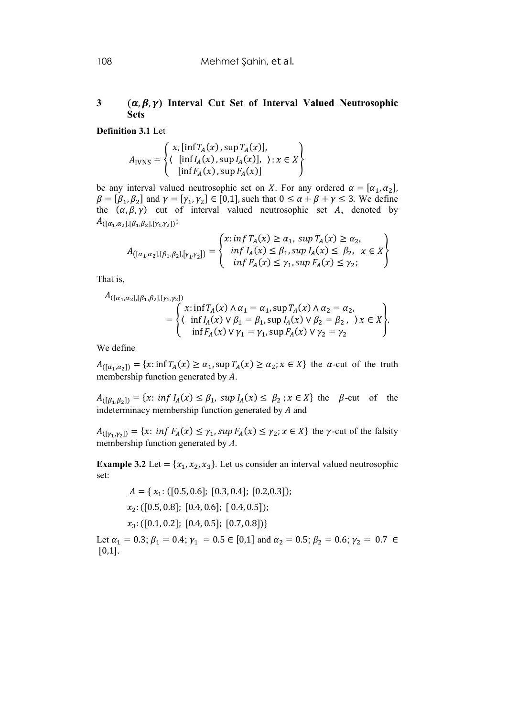# **3**  $(\alpha, \beta, \gamma)$  Interval Cut Set of Interval Valued Neutrosophic **Sets**

**Definition 3.1** Let

$$
A_{\text{IVNS}} = \left\{ \begin{aligned} x, [\inf T_A(x), \sup T_A(x)], \\ \left\{ (\inf I_A(x), \sup I_A(x)], \right\} : x \in X \\ [\inf F_A(x), \sup F_A(x)] \end{aligned} \right\}
$$

be any interval valued neutrosophic set on X. For any ordered  $\alpha = [\alpha_1, \alpha_2]$ ,  $\beta = [\beta_1, \beta_2]$  and  $\gamma = [\gamma_1, \gamma_2] \in [0, 1]$ , such that  $0 \le \alpha + \beta + \gamma \le 3$ . We define the  $(\alpha, \beta, \gamma)$  cut of interval valued neutrosophic set A, denoted by  $A_{([\alpha_1,\alpha_2],[\beta_1,\beta_2],[\gamma_1,\gamma_2])}$ :

$$
A_{([\alpha_1,\alpha_2],[\beta_1,\beta_2],[\gamma_1,\gamma_2])} = \begin{cases} x: \inf T_A(x) \ge \alpha_1, \sup T_A(x) \ge \alpha_2, \\ \inf I_A(x) \le \beta_1, \sup I_A(x) \le \beta_2, \ x \in X \\ \inf F_A(x) \le \gamma_1, \sup F_A(x) \le \gamma_2; \end{cases}
$$

That is,

$$
A_{([\alpha_1,\alpha_2],[\beta_1,\beta_2],[\gamma_1,\gamma_2])}
$$
  
= {  $\begin{cases} x:\inf T_A(x) \wedge \alpha_1 = \alpha_1, \sup T_A(x) \wedge \alpha_2 = \alpha_2, \\ \langle \inf I_A(x) \vee \beta_1 = \beta_1, \sup I_A(x) \vee \beta_2 = \beta_2, \\ \inf F_A(x) \vee \gamma_1 = \gamma_1, \sup F_A(x) \vee \gamma_2 = \gamma_2 \end{cases}$ 

We define

 $A_{(\lbrack \alpha_1,\alpha_2 \rbrack)} = \{x: \inf T_A(x) \geq \alpha_1, \sup T_A(x) \geq \alpha_2; x \in X\}$  the  $\alpha$ -cut of the truth membership function generated by  $A$ .

 $A_{\left(\begin{bmatrix} \beta_1,\beta_2 \end{bmatrix} \right)} = \{x: \inf I_A(x) \leq \beta_1, \sup I_A(x) \leq \beta_2; x \in X\}$  the  $\beta$ -cut of the indeterminacy membership function generated by  $A$  and

 $A_{([Y_1,Y_2])} = \{x: \inf F_A(x) \leq \gamma_1, \sup F_A(x) \leq \gamma_2; x \in X\}$  the y-cut of the falsity membership function generated by *A*.

**Example 3.2** Let =  $\{x_1, x_2, x_3\}$ . Let us consider an interval valued neutrosophic set:

> $A = \{x_1: ([0.5, 0.6]; [0.3, 0.4]; [0.2, 0.3])\}$  $x_2$ : ([0.5, 0.8]; [0.4, 0.6]; [0.4, 0.5]);  $x_3: ([0.1, 0.2]; [0.4, 0.5]; [0.7, 0.8])$

Let  $\alpha_1 = 0.3$ ;  $\beta_1 = 0.4$ ;  $\gamma_1 = 0.5 \in [0,1]$  and  $\alpha_2 = 0.5$ ;  $\beta_2 = 0.6$ ;  $\gamma_2 = 0.7 \in$  $[0,1]$ .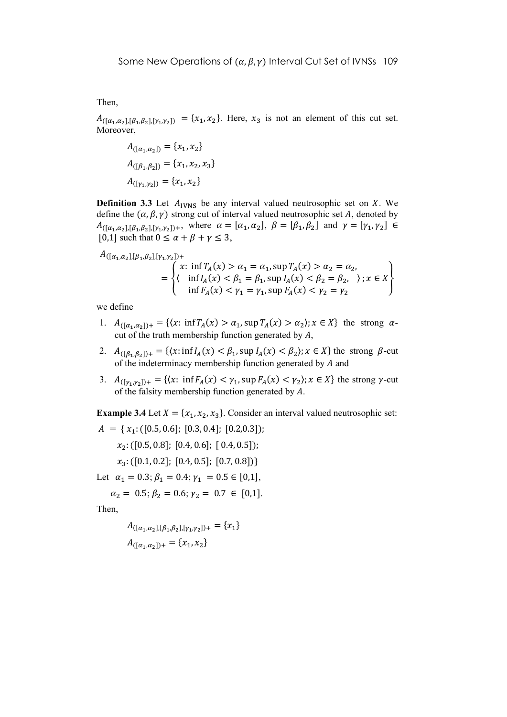Then,

 $A_{\left(\left[\alpha_1,\alpha_2\right],\left[\beta_1,\beta_2\right],\left[\gamma_1,\gamma_2\right]\right)} = \left\{x_1,x_2\right\}$ . Here,  $x_3$  is not an element of this cut set. Moreover,

$$
A_{([\alpha_1,\alpha_2])} = \{x_1, x_2\}
$$
  
\n
$$
A_{([\beta_1,\beta_2])} = \{x_1, x_2, x_3\}
$$
  
\n
$$
A_{([\gamma_1,\gamma_2])} = \{x_1, x_2\}
$$

**Definition 3.3** Let  $A_{IVNS}$  be any interval valued neutrosophic set on X. We define the  $(\alpha, \beta, \gamma)$  strong cut of interval valued neutrosophic set A, denoted by  $A_{([\alpha_1,\alpha_2],[\beta_1,\beta_2],[\gamma_1,\gamma_2])+}$ , where  $\alpha = [\alpha_1,\alpha_2], \beta = [\beta_1,\beta_2]$  and  $\gamma = [\gamma_1,\gamma_2] \in$ [0,1] such that  $0 \le \alpha + \beta + \gamma \le 3$ ,

$$
A_{([\alpha_1,\alpha_2],[\beta_1,\beta_2],[\gamma_1,\gamma_2])^{+}}
$$
  
= { $\begin{cases} x: \inf T_A(x) > \alpha_1 = \alpha_1, \sup T_A(x) > \alpha_2 = \alpha_2, \\ \langle \inf I_A(x) < \beta_1 = \beta_1, \sup I_A(x) < \beta_2 = \beta_2, \rangle; x \in X \\ \inf F_A(x) < \gamma_1 = \gamma_1, \sup F_A(x) < \gamma_2 = \gamma_2 \end{cases}$ 

we define

- 1.  $A_{(\lceil \alpha_1, \alpha_2 \rceil)} = {\langle x : \inf T_A(x) > \alpha_1, \sup T_A(x) > \alpha_2 \rangle}; x \in X}$  the strong  $\alpha$ cut of the truth membership function generated by  $A$ ,
- 2.  $A_{\left(\left[\beta_1,\beta_2\right]\right)_+} = \left\{ \left(x : \inf I_A(x) < \beta_1, \sup I_A(x) < \beta_2 \right); x \in X \right\}$  the strong  $\beta$ -cut of the indeterminacy membership function generated by  $A$  and
- 3.  $A_{\left(\left[\gamma_1,\gamma_2\right]\right)+} = \left\{ \left(x : \inf F_A(x) < \gamma_1, \sup F_A(x) < \gamma_2 \right); x \in X \right\}$  the strong  $\gamma$ -cut of the falsity membership function generated by  $A$ .

**Example 3.4** Let  $X = \{x_1, x_2, x_3\}$ . Consider an interval valued neutrosophic set:

$$
A = \{x_1: ([0.5, 0.6]; [0.3, 0.4]; [0.2, 0.3]);
$$

$$
x_2: ([0.5, 0.8]; [0.4, 0.6]; [0.4, 0.5]);
$$

$$
x_3: ([0.1, 0.2]; [0.4, 0.5]; [0.7, 0.8])\}
$$

Let  $\alpha_1 = 0.3; \beta_1 = 0.4; \gamma_1 = 0.5 \in [0,1],$ 

 $\alpha_2 = 0.5; \beta_2 = 0.6; \gamma_2 = 0.7 \in [0,1].$ 

Then,

$$
A_{([\alpha_1,\alpha_2],[\beta_1,\beta_2],[\gamma_1,\gamma_2])+} = \{x_1\}
$$
  

$$
A_{([\alpha_1,\alpha_2])+} = \{x_1, x_2\}
$$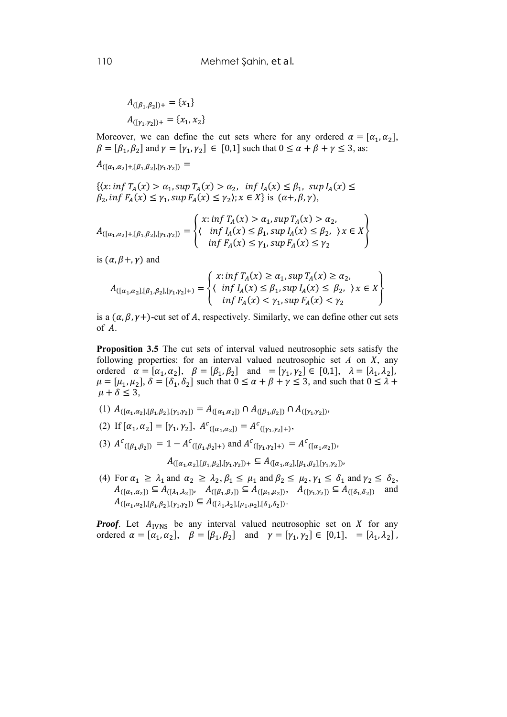$$
A_{([\beta_1,\beta_2])+} = \{x_1\}
$$
  

$$
A_{([\gamma_1,\gamma_2])+} = \{x_1, x_2\}
$$

Moreover, we can define the cut sets where for any ordered  $\alpha = [\alpha_1, \alpha_2]$ ,  $\beta = [\beta_1, \beta_2]$  and  $\gamma = [\gamma_1, \gamma_2] \in [0,1]$  such that  $0 \le \alpha + \beta + \gamma \le 3$ , as:

$$
A_{([\alpha_1,\alpha_2]+,[\beta_1,\beta_2],[\gamma_1,\gamma_2])}=
$$

 $\{(x: \inf T_A(x) > \alpha_1, \sup T_A(x) > \alpha_2, \inf I_A(x) \leq \beta_1, \sup I_A(x) \leq$  $\beta_2$ , inf  $F_A(x) \leq \gamma_1$ , sup  $F_A(x) \leq \gamma_2$ ;  $x \in X$  is  $(\alpha + \beta, \gamma)$ ,

$$
A_{([\alpha_1,\alpha_2]+\,[\beta_1,\beta_2],[\gamma_1,\gamma_2])} = \begin{cases} x: \inf T_A(x) > \alpha_1, \sup T_A(x) > \alpha_2, \\ \langle \inf I_A(x) \le \beta_1, \sup I_A(x) \le \beta_2, \ \rangle x \in X \\ \inf F_A(x) \le \gamma_1, \sup F_A(x) \le \gamma_2 \end{cases}
$$

is  $(\alpha, \beta +, \gamma)$  and

$$
A_{([\alpha_1,\alpha_2],[\beta_1,\beta_2],[\gamma_1,\gamma_2]+)} = \begin{cases} x: \inf T_A(x) \ge \alpha_1, \sup T_A(x) \ge \alpha_2, \\ \int \inf T_A(x) \le \beta_1, \sup T_A(x) \le \beta_2, \\ \inf F_A(x) < \gamma_1, \sup F_A(x) < \gamma_2 \end{cases} \times E X
$$

is a  $(\alpha, \beta, \gamma+)$ -cut set of A, respectively. Similarly, we can define other cut sets of A.

**Proposition 3.5** The cut sets of interval valued neutrosophic sets satisfy the following properties: for an interval valued neutrosophic set  $A$  on  $X$ , any ordered  $\alpha = [\alpha_1, \alpha_2], \ \beta = [\beta_1, \beta_2]$  and  $= [\gamma_1, \gamma_2] \in [0,1], \ \lambda = [\lambda_1, \lambda_2],$  $\mu = [\mu_1, \mu_2], \delta = [\delta_1, \delta_2]$  such that  $0 \le \alpha + \beta + \gamma \le 3$ , and such that  $0 \le \lambda + \gamma$  $\mu + \delta \leq 3$ ,

- (1)  $A_{([\alpha_1,\alpha_2],[\beta_1,\beta_2],[\gamma_1,\gamma_2])} = A_{([\alpha_1,\alpha_2])} \cap A_{([\beta_1,\beta_2])} \cap A_{([\gamma_1,\gamma_2])}$
- (2) If  $[\alpha_1, \alpha_2] = [\gamma_1, \gamma_2], A^c(\alpha_1, \alpha_2] = A^c(\gamma_1, \gamma_2) +$ ,
- (3)  $A^{c}([\beta_1, \beta_2]) = 1 A^{c}([\beta_1, \beta_2])$  and  $A^{c}([\gamma_1, \gamma_2]) = A^{c}([\alpha_1, \alpha_2])$

 $A_{([\alpha_1,\alpha_2],[\beta_1,\beta_2],[\gamma_1,\gamma_2])^+}\subseteq A_{([\alpha_1,\alpha_2],[\beta_1,\beta_2],[\gamma_1,\gamma_2])^+}$ 

(4) For  $\alpha_1 \geq \lambda_1$  and  $\alpha_2 \geq \lambda_2, \beta_1 \leq \mu_1$  and  $\beta_2 \leq \mu_2, \gamma_1 \leq \delta_1$  and  $\gamma_2 \leq \delta_2$ ,  $A_{([\alpha_1,\alpha_2])} \subseteq A_{([\beta_1,\beta_2])} \subseteq A_{([\mu_1,\mu_2])}, A_{([\gamma_1,\gamma_2])} \subseteq A_{([\delta_1,\delta_2])}$  and  $A_{([\alpha_1,\alpha_2],[\beta_1,\beta_2],[\gamma_1,\gamma_2])}\subseteq A_{([\lambda_1,\lambda_2],[\mu_1,\mu_2],[\delta_1,\delta_2])}.$ 

*Proof.* Let  $A_{IVNS}$  be any interval valued neutrosophic set on  $X$  for any ordered  $\alpha = [\alpha_1, \alpha_2], \quad \beta = [\beta_1, \beta_2]$  and  $\gamma = [\gamma_1, \gamma_2] \in [0,1], \quad = [\lambda_1, \lambda_2]$ ,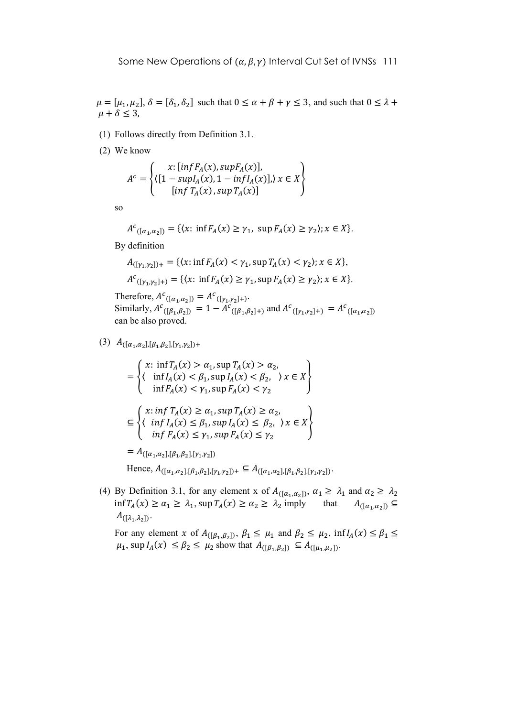$\mu = [\mu_1, \mu_2], \delta = [\delta_1, \delta_2]$  such that  $0 \le \alpha + \beta + \gamma \le 3$ , and such that  $0 \le \lambda + \gamma$  $\mu + \delta \leq 3$ ,

- (1) Follows directly from Definition 3.1.
- (2) We know

$$
A^{c} = \begin{cases} x: [inf F_A(x), sup F_A(x)], \\ \langle [1 - sup I_A(x), 1 - inf I_A(x)], x \in X \\ [inf T_A(x), sup T_A(x)] \end{cases}
$$

so

$$
A^{c}{}_{([\alpha_{1},\alpha_{2}])} = \{ (x: \inf F_{A}(x) \ge \gamma_{1}, \sup F_{A}(x) \ge \gamma_{2}) ; x \in X \}.
$$

By definition

$$
A_{([Y_1,Y_2])+} = \{ \langle x : \inf F_A(x) < \gamma_1, \sup T_A(x) < \gamma_2 \rangle; x \in X \},
$$
\n
$$
A^c_{([Y_1,Y_2]+)} = \{ \langle x : \inf F_A(x) \ge \gamma_1, \sup F_A(x) \ge \gamma_2 \rangle; x \in X \}.
$$

Therefore,  $A^{c}([\alpha_1, \alpha_2]) = A^{c}([\gamma_1, \gamma_2] +)$ . Similarly,  $A^{c}(\lbrack \beta_1,\beta_2 \rbrack) = 1 - A^{c}(\lbrack \beta_1,\beta_2 \rbrack)$  and  $A^{c}(\lbrack \gamma_1,\gamma_2 \rbrack) = A^{c}(\lbrack \alpha_1,\alpha_2 \rbrack)$ can be also proved.

(3)  $A_{([\alpha_1,\alpha_2],[\beta_1,\beta_2],[\gamma_1,\gamma_2])+}$ 

$$
= \begin{cases} x: \inf T_A(x) > \alpha_1, \sup T_A(x) > \alpha_2, \\ \langle \inf I_A(x) < \beta_1, \sup I_A(x) < \beta_2, \rangle x \in X \rangle \\ \inf F_A(x) < \gamma_1, \sup F_A(x) < \gamma_2 \end{cases}
$$
  

$$
\subseteq \begin{cases} x: \inf T_A(x) \ge \alpha_1, \sup T_A(x) \ge \alpha_2, \\ \langle \inf I_A(x) \le \beta_1, \sup I_A(x) \le \beta_2, \rangle x \in X \rangle \\ \inf F_A(x) \le \gamma_1, \sup F_A(x) \le \gamma_2 \end{cases}
$$
  

$$
= A_{([\alpha_1, \alpha_2], [\beta_1, \beta_2], [\gamma_1, \gamma_2])}
$$

Hence,  $A_{([\alpha_1,\alpha_2],[\beta_1,\beta_2],[\gamma_1,\gamma_2])^+} \subseteq A_{([\alpha_1,\alpha_2],[\beta_1,\beta_2],[\gamma_1,\gamma_2])^+}$ 

(4) By Definition 3.1, for any element x of  $A_{([a_1,a_2])}$ ,  $\alpha_1 \geq \lambda_1$  and  $\alpha_2 \geq \lambda_2$  $\inf T_A(x) \ge \alpha_1 \ge \lambda_1$ ,  $\sup T_A(x) \ge \alpha_2 \ge \lambda_2$  imply that  $A_{(\lceil \alpha_1, \alpha_2 \rceil)} \subseteq$  $A_{\left(\left[\lambda_1,\lambda_2\right]\right)}.$ 

For any element x of  $A_{(\lceil \beta_1, \beta_2 \rceil)}, \beta_1 \leq \mu_1$  and  $\beta_2 \leq \mu_2$ , inf $I_A(x) \leq \beta_1 \leq \beta_2$  $\mu_1$ , sup  $I_A(x) \leq \beta_2 \leq \mu_2$  show that  $A_{([\beta_1, \beta_2])} \subseteq A_{([\mu_1, \mu_2])}$ .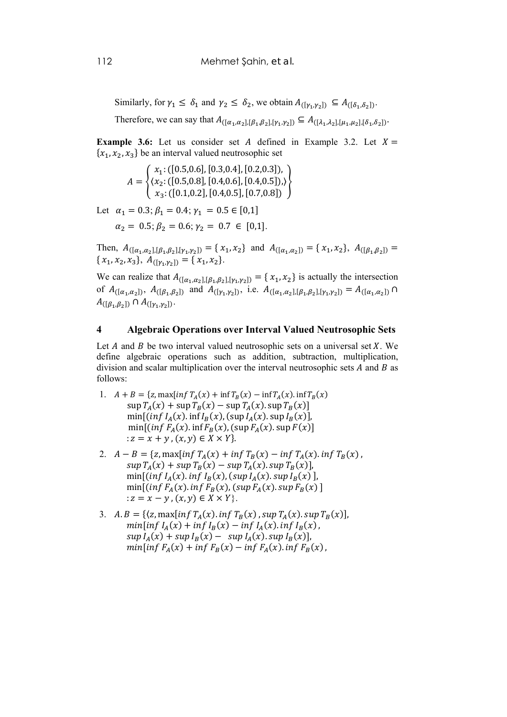Similarly, for  $\gamma_1 \leq \delta_1$  and  $\gamma_2 \leq \delta_2$ , we obtain  $A_{([\gamma_1,\gamma_2])} \subseteq A_{([\delta_1,\delta_2])}$ .

Therefore, we can say that  $A_{([\alpha_1,\alpha_2],[\beta_1,\beta_2],[\gamma_1,\gamma_2])} \subseteq A_{([\lambda_1,\lambda_2],[\mu_1,\mu_2],[\delta_1,\delta_2])}$ .

**Example 3.6:** Let us consider set A defined in Example 3.2. Let  $X =$  ${x_1, x_2, x_3}$  be an interval valued neutrosophic set

> $A = \{\langle$  $x_1$ : ([0.5,0.6], [0.3,0.4], [0.2,0.3]),  $x_2: ([0.5, 0.8], [0.4, 0.6], [0.4, 0.5]),$  $x_3: ([0.1, 0.2], [0.4, 0.5], [0.7, 0.8])$ 〉ቑ

Let  $\alpha_1 = 0.3; \beta_1 = 0.4; \gamma_1 = 0.5 \in [0,1]$ 

 $\alpha_2 = 0.5; \beta_2 = 0.6; \gamma_2 = 0.7 \in [0,1].$ 

Then,  $A_{([\alpha_1,\alpha_2],[\beta_1,\beta_2],[\gamma_1,\gamma_2])} = \{x_1,x_2\}$  and  $A_{([\alpha_1,\alpha_2])} = \{x_1,x_2\}$ ,  $A_{([\beta_1,\beta_2])} =$  $\{x_1, x_2, x_3\}, A_{\{[\gamma_1,\gamma_2]\}} = \{x_1, x_2\}.$ 

We can realize that  $A_{([\alpha_1,\alpha_2],[\beta_1,\beta_2],[\gamma_1,\gamma_2])} = \{x_1,x_2\}$  is actually the intersection of  $A_{([\alpha_1,\alpha_2])}, A_{([\beta_1,\beta_2])}$  and  $A_{([\gamma_1,\gamma_2])},$  i.e.  $A_{([\alpha_1,\alpha_2],[\beta_1,\beta_2],[\gamma_1,\gamma_2])} = A_{([\alpha_1,\alpha_2])} \cap$  $A_{([{\beta}_1, {\beta}_2])} \cap A_{([{\gamma}_1, {\gamma}_2])}.$ 

#### **4 Algebraic Operations over Interval Valued Neutrosophic Sets**

Let  $A$  and  $B$  be two interval valued neutrosophic sets on a universal set  $X$ . We define algebraic operations such as addition, subtraction, multiplication, division and scalar multiplication over the interval neutrosophic sets  $A$  and  $B$  as follows:

- 1.  $A + B = \{z, \max\{inf T_A(x) + inf T_B(x) inf T_A(x) \}$ . inf  $T_B(x)$  $\sup T_A(x) + \sup T_B(x) - \sup T_A(x) \cdot \sup T_B(x)$  $\min[(\inf I_A(x).\inf I_B(x), (\sup I_A(x).\sup I_B(x))],$  $\min[(\inf F_A(x), \inf F_B(x), (\sup F_A(x), \sup F(x))]$ :  $z = x + y$ ,  $(x, y) \in X \times Y$ .
- 2.  $A B = \{z, \max\{\inf T_A(x) + \inf T_B(x) \inf T_A(x) \}$ ,  $\inf T_B(x)$ ,  $sup T_A(x) + sup T_B(x) - sup T_A(x)$ .  $sup T_B(x)$ ], min $[(\inf I_A(x) \cdot \inf I_B(x), (\sup I_A(x) \cdot \sup I_B(x))],$ min[(inf  $F_A(x)$ . inf  $F_B(x)$ , (sup  $F_A(x)$ . sup  $F_B(x)$ ) :  $z = x - y$ ,  $(x, y) \in X \times Y$ .
- 3.  $A.B = \{(z, \max[\inf T_A(x) \cdot \inf T_B(x), \sup T_A(x) \cdot \sup T_B(x)\},\)$  $min[inf I_A(x) + inf I_B(x) - inf I_A(x) . inf I_B(x)$ ,  $sup I_A(x) + sup I_B(x) - sup I_A(x) . sup I_B(x)$  $min[inf F<sub>A</sub>(x) + inf F<sub>B</sub>(x) - inf F<sub>A</sub>(x).inf F<sub>B</sub>(x)$ ,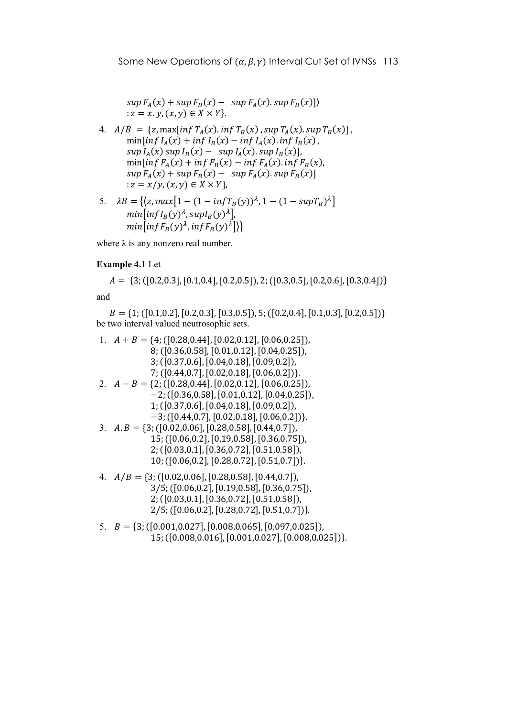$sup F_A(x) + sup F_B(x) - sup F_A(x) . sup F_B(x)$ :  $z = x, y, (x, y) \in X \times Y$ .

- 4.  $A/B = \{z, \max[\inf T_A(x) \cdot \inf T_B(x), \sup T_A(x) \cdot \sup T_B(x)\}\,$  $\min\{inf I_A(x) + inf I_B(x) - inf I_A(x) \}$ ,  $\inf I_B(x)$ ,  $sup I_A(x)$  sup  $I_B(x) - sup I_A(x)$ . sup  $I_B(x)$ , min[inf  $F_A(x)$  + inf  $F_B(x)$  – inf  $F_A(x)$ . inf  $F_B(x)$ ,  $\sup F_A(x) + \sup F_B(x) - \sup F_A(x)$ .  $\sup F_B(x)$ :  $z = x/y$ ,  $(x, y) \in X \times Y$ ,
- 5.  $\lambda B = \{(z, max[1 (1 infT_B(y))^{\lambda}, 1 (1 supT_B)^{\lambda}\}]$  $min[inf I_B(y)^\lambda, sup I_B(y)^\lambda]$  $min[inf F_B(y)^\lambda, inf F_B(y)^\lambda]$

where  $\lambda$  is any nonzero real number.

#### **Example 4.1** Let

# $A = \{3; ([0.2, 0.3], [0.1, 0.4], [0.2, 0.5]), 2; ([0.3, 0.5], [0.2, 0.6], [0.3, 0.4])\}$

and

 $B = \{1; ([0.1, 0.2], [0.2, 0.3], [0.3, 0.5]), 5; ([0.2, 0.4], [0.1, 0.3], [0.2, 0.5])\}$ be two interval valued neutrosophic sets.

| 1. $A + B = \{4; ([0.28, 0.44], [0.02, 0.12], [0.06, 0.25]),$ |
|---------------------------------------------------------------|
| 8; ([0.36,0.58], [0.01,0.12], [0.04,0.25]),                   |
| $3$ ; ([0.37,0.6], [0.04,0.18], [0.09,0.2]),                  |
| $7; ([0.44, 0.7], [0.02, 0.18], [0.06, 0.2])$                 |
| 2. $A - B = \{2; ([0.28, 0.44], [0.02, 0.12], [0.06, 0.25]),$ |
| $-2$ ; ([0.36,0.58], [0.01,0.12], [0.04,0.25]),               |
| $1; ([0.37, 0.6], [0.04, 0.18], [0.09, 0.2]),$                |
| $-3$ ; ([0.44,0.7], [0.02,0.18], [0.06,0.2])}.                |
| 3. $A.B = \{3; ([0.02, 0.06], [0.28, 0.58], [0.44, 0.7]),\}$  |
| 15; ([0.06,0.2], [0.19,0.58], [0.36,0.75]),                   |
| $2; ([0.03, 0.1], [0.36, 0.72], [0.51, 0.58]),$               |
| 10; ([0.06,0.2], [0.28,0.72], [0.51,0.7])}.                   |
| 4. $A/B = \{3; ([0.02, 0.06], [0.28, 0.58], [0.44, 0.7]),$    |
| 3/5; ([0.06,0.2], [0.19,0.58], [0.36,0.75]),                  |
| $2; ([0.03, 0.1], [0.36, 0.72], [0.51, 0.58]),$               |
| $2/5$ ; ([0.06,0.2], [0.28,0.72], [0.51,0.7])}.               |

5.  $B = \{3; ([0.001, 0.027], [0.008, 0.065], [0.097, 0.025])\}$  $15$ ;  $([0.008, 0.016], [0.001, 0.027], [0.008, 0.025])$ .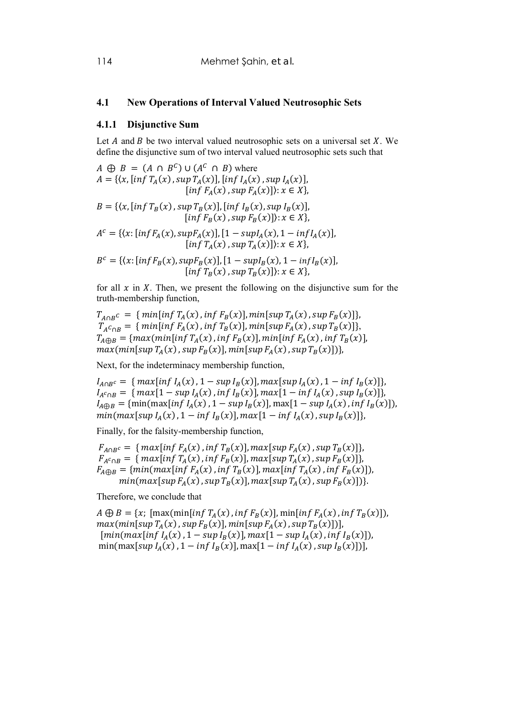## **4.1 New Operations of Interval Valued Neutrosophic Sets**

#### **4.1.1 Disjunctive Sum**

Let  $A$  and  $B$  be two interval valued neutrosophic sets on a universal set  $X$ . We define the disjunctive sum of two interval valued neutrosophic sets such that

$$
A \oplus B = (A \cap B^{C}) \cup (A^{C} \cap B) \text{ where}
$$
  
\n
$$
A = \{ (x, [\inf T_A(x), \sup T_A(x)], [\inf I_A(x), \sup I_A(x)],
$$
  
\n
$$
[\inf F_A(x), \sup F_A(x)] \} : x \in X \},
$$
  
\n
$$
B = \{ (x, [\inf T_B(x), \sup T_B(x)], [\inf I_B(x), \sup I_B(x)],
$$
  
\n
$$
[\inf F_B(x), \sup F_B(x)] \} : x \in X \},
$$
  
\n
$$
A^{c} = \{ (x: [\inf F_A(x), \sup F_A(x)], [1 - \sup I_A(x), 1 - \inf I_A(x)],
$$
  
\n
$$
[\inf T_A(x), \sup T_A(x)] \} : x \in X \},
$$
  
\n
$$
B^{c} = \{ (x: [\inf F_B(x), \sup F_B(x)], [1 - \sup I_B(x), 1 - \inf I_B(x)],
$$
  
\n
$$
[\inf T_B(x), \sup T_B(x)] \} : x \in X \},
$$

for all  $x$  in  $X$ . Then, we present the following on the disjunctive sum for the truth-membership function,

 $T_{A \cap B} c = \{ \min[ \inf T_A(x), \inf F_B(x) ] \}$ ,  $\min[\sup T_A(x), \sup F_B(x) ] \}$ ,  $T_{A}c_{\cap B} = \{ min[inf F_A(x), inf T_B(x)], min[sup F_A(x), sup T_B(x)]\},\$  $T_{A\oplus B} = \{max(min[inf T_A(x), inf F_B(x)], min[inf F_A(x), inf T_B(x)],$  $max(min[sup T_A(x), sup F_B(x)], min[sup F_A(x), sup T_B(x)]),$ 

Next, for the indeterminacy membership function,

 $I_{A \cap B^c} = \{ \max[ \inf I_A(x), 1 - \sup I_B(x)] \}$ ,  $\max[\sup I_A(x), 1 - \inf I_B(x)] \}$ ,  $I_{A^c \cap B} = \{ \max[1 - \sup I_A(x), \inf I_B(x)], \max[1 - \inf I_A(x), \sup I_B(x)] \},\$  $I_{A\oplus B} = \{\min(\max[\inf I_A(x), 1 - \sup I_B(x)], \max[1 - \sup I_A(x), \inf I_B(x)]\},\}$  $min(max[sup I<sub>A</sub>(x), 1 - inf I<sub>B</sub>(x)], max[1 - inf I<sub>A</sub>(x), sup I<sub>B</sub>(x)]\},$ 

Finally, for the falsity-membership function,

 $F_{A \cap B^c} = \{ \max[ \inf F_A(x), \inf T_B(x) ] \}$ ,  $\max[\sup F_A(x), \sup T_B(x) ] \}$ ,  $F_{A^c \cap B} = \{ \max[\inf T_A(x), \inf F_B(x)], \max[\sup T_A(x), \sup F_B(x)] \},$  $F_{A\oplus B} = \{min(max[inf F_A(x), inf T_B(x)], max[inf T_A(x), inf F_B(x)]\},\$  $min(max[sup F<sub>A</sub>(x), sup T<sub>B</sub>(x)], max[sup T<sub>A</sub>(x), sup F<sub>B</sub>(x)]$  }.

Therefore, we conclude that

 $A \oplus B = \{x; \left[ \max(\min[\inf T_A(x), \inf F_B(x)], \min[\inf F_A(x), \inf T_B(x)] \right],$  $max(min[sup T_A(x), sup F_B(x)], min[sup F_A(x), sup T_B(x)])]$  $[\min(\max[\inf I_A(x), 1 - \sup I_B(x)], \max[1 - \sup I_A(x), \inf I_B(x)]),$  $\min(\max[\sup I_A(x), 1 - \inf I_B(x)], \max[1 - \inf I_A(x), \sup I_B(x)])$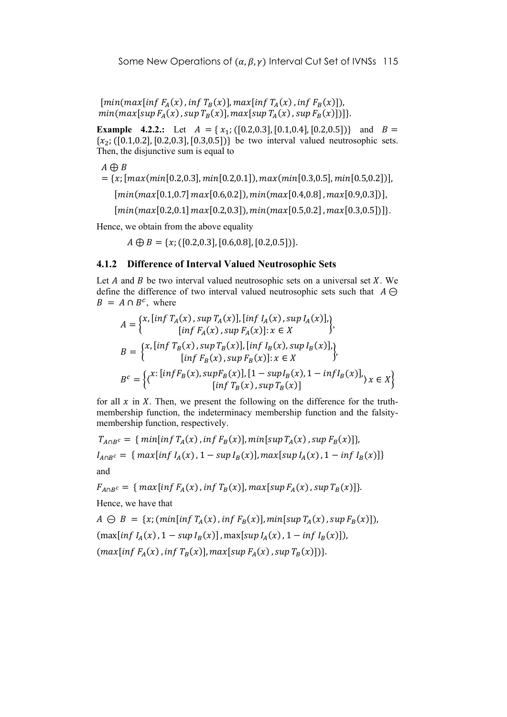$[\min(\max[\inf F_A(x), \inf T_B(x)], \max[\inf T_A(x), \inf F_B(x)]],$  $min(max[sup F<sub>A</sub>(x), sup T<sub>B</sub>(x)], max[sup T<sub>A</sub>(x), sup F<sub>B</sub>(x)])]$ .

**Example 4.2.2.:** Let  $A = \{x_1, ([0.2, 0.3], [0.1, 0.4], [0.2, 0.5])\}$  and  $B =$  ${x_2; ([0.1, 0.2], [0.2, 0.3], [0.3, 0.5])}$  be two interval valued neutrosophic sets. Then, the disjunctive sum is equal to

 $A \oplus B$ 

 $=\{x; \lceil max(min[0.2, 0.3], min[0.2, 0.1]), max(min[0.3, 0.5], min[0.5, 0.2]),\}$ 

 $[\min(\max[0.1, 0.7], \max[0.6, 0.2]), \min(\max[0.4, 0.8], \max[0.9, 0.3]),$ 

 $[\min(\max[0.2, 0.1]\max[0.2, 0.3]), \min(\max[0.5, 0.2]\max[0.3, 0.5])]\}.$ 

Hence, we obtain from the above equality

 $A \oplus B = \{x; ([0.2, 0.3], [0.6, 0.8], [0.2, 0.5])\}.$ 

## **4.1.2 Difference of Interval Valued Neutrosophic Sets**

Let  $A$  and  $B$  be two interval valued neutrosophic sets on a universal set  $X$ . We define the difference of two interval valued neutrosophic sets such that  $A \ominus$  $B = A \cap B^c$ , where

$$
A = \begin{cases} x, [\inf T_A(x), \sup T_A(x)], [\inf I_A(x), \sup I_A(x)], \\ [\inf F_A(x), \sup F_A(x)] : x \in X \end{cases},
$$
  
\n
$$
B = \begin{cases} x, [\inf T_B(x), \sup T_B(x)], [\inf I_B(x), \sup I_B(x)], \\ [\inf F_B(x), \sup F_B(x)] : x \in X \end{cases},
$$
  
\n
$$
B^c = \begin{cases} x: [\inf F_B(x), \sup F_B(x)], [1 - \sup I_B(x), 1 - \inf I_B(x)], \\ [\inf T_B(x), \sup T_B(x)] \end{cases}, x \in X \}
$$

for all  $x$  in  $X$ . Then, we present the following on the difference for the truthmembership function, the indeterminacy membership function and the falsitymembership function, respectively.

$$
T_{A \cap B^c} = \{ \min[\inf T_A(x), \inf F_B(x)], \min[\sup T_A(x), \sup F_B(x)] \},
$$
  
\n
$$
I_{A \cap B^c} = \{ \max[\inf I_A(x), 1 - \sup I_B(x)], \max[\sup I_A(x), 1 - \inf I_B(x)] \}
$$
  
\nand

$$
F_{A \cap B^c} = \{ \max[\inf F_A(x), \inf T_B(x)], \max[\sup F_A(x), \sup T_B(x)] \}.
$$
  
Hence, we have that

 $A \ominus B = \{x; (min[inf T_A(x), inf F_B(x)], min[sup T_A(x), sup F_B(x)]\},\$  $\left(\max\left\{inf I_a(x), 1 - \sup I_B(x)\right\}, \max\left\{sup I_a(x), 1 - \inf I_B(x)\right\}\right),$  $\{\max[\inf F_A(x), \inf T_B(x)], \max[\sup F_A(x), \sup T_B(x)]\}.$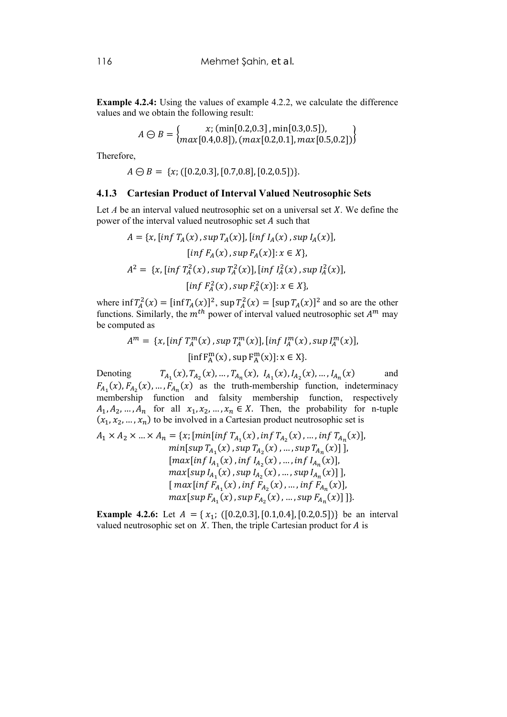**Example 4.2.4:** Using the values of example 4.2.2, we calculate the difference values and we obtain the following result:

$$
A \ominus B = \begin{cases} x; (\min[0.2, 0.3], \min[0.3, 0.5]), \\ \max[0.4, 0.8]), (\max[0.2, 0.1], \max[0.5, 0.2]) \end{cases}
$$

Therefore,

$$
A \ominus B = \{x; ([0.2, 0.3], [0.7, 0.8], [0.2, 0.5])\}.
$$

#### **4.1.3 Cartesian Product of Interval Valued Neutrosophic Sets**

Let  $A$  be an interval valued neutrosophic set on a universal set  $X$ . We define the power of the interval valued neutrosophic set  $A$  such that

$$
A = \{x, [\inf T_A(x), \sup T_A(x)], [\inf I_A(x), \sup I_A(x)],
$$
  
\n
$$
[\inf F_A(x), \sup F_A(x)] : x \in X\},
$$
  
\n
$$
A^2 = \{x, [\inf T_A^2(x), \sup T_A^2(x)], [\inf I_A^2(x), \sup I_A^2(x)],
$$
  
\n
$$
[\inf F_A^2(x), \sup F_A^2(x)] : x \in X\},
$$

where  $\inf T_A^2(x) = [\inf T_A(x)]^2$ ,  $\sup T_A^2(x) = [\sup T_A(x)]^2$  and so are the other functions. Similarly, the  $m^{th}$  power of interval valued neutrosophic set  $A<sup>m</sup>$  may be computed as

$$
A^{m} = \{x, [\inf T_A^{m}(x), \sup T_A^{m}(x)], [\inf I_A^{m}(x), \sup I_A^{m}(x)],
$$
  
 
$$
[\inf F_A^{m}(x), \sup F_A^{m}(x)] : x \in X\}.
$$

Denoting  $T_{A_1}(x), T_{A_2}(x), \ldots, T_{A_n}(x), I_{A_1}(x), I_{A_2}(x), \ldots, I_{A_n}(x)$  and  $F_{A_1}(x)$ ,  $F_{A_2}(x)$ , ...,  $F_{A_n}(x)$  as the truth-membership function, indeterminacy membership function and falsity membership function, respectively  $A_1, A_2, \ldots, A_n$  for all  $x_1, x_2, \ldots, x_n \in X$ . Then, the probability for n-tuple  $(x_1, x_2, ..., x_n)$  to be involved in a Cartesian product neutrosophic set is

$$
A_1 \times A_2 \times ... \times A_n = \{x; [min[inf T_{A_1}(x), inf T_{A_2}(x), ..., inf T_{A_n}(x)],min[sup T_{A_1}(x), sup T_{A_2}(x), ..., sup T_{A_n}(x)]\},[max[inf I_{A_1}(x), inf I_{A_2}(x), ..., inf I_{A_n}(x)],max[sup I_{A_1}(x), sup I_{A_2}(x), ..., sup I_{A_n}(x)]],[max[inf F_{A_1}(x), inf F_{A_2}(x), ..., inf F_{A_n}(x)],max[sup F_{A_1}(x), sup F_{A_2}(x), ..., sup F_{A_n}(x)]]\}.
$$

**Example 4.2.6:** Let  $A = \{x_1, \{(0.2, 0.3], [0.1, 0.4], [0.2, 0.5]\}\}$  be an interval valued neutrosophic set on  $X$ . Then, the triple Cartesian product for  $A$  is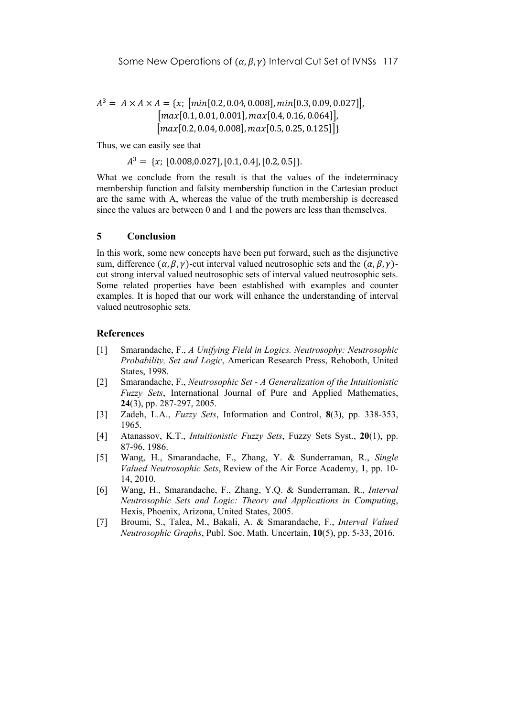$$
A^{3} = A \times A \times A = \{x; [min[0.2, 0.04, 0.008], min[0.3, 0.09, 0.027]\}, [max[0.1, 0.01, 0.001], max[0.4, 0.16, 0.064]\}, [max[0.2, 0.04, 0.008], max[0.5, 0.25, 0.125]\}
$$

Thus, we can easily see that

 $A<sup>3</sup> = \{x, [0.008, 0.027], [0.1, 0.4], [0.2, 0.5]\}.$ 

What we conclude from the result is that the values of the indeterminacy membership function and falsity membership function in the Cartesian product are the same with A, whereas the value of the truth membership is decreased since the values are between 0 and 1 and the powers are less than themselves.

#### **5 Conclusion**

In this work, some new concepts have been put forward, such as the disjunctive sum, difference  $(\alpha, \beta, \gamma)$ -cut interval valued neutrosophic sets and the  $(\alpha, \beta, \gamma)$ cut strong interval valued neutrosophic sets of interval valued neutrosophic sets. Some related properties have been established with examples and counter examples. It is hoped that our work will enhance the understanding of interval valued neutrosophic sets.

#### **References**

- [1] Smarandache, F., *A Unifying Field in Logics. Neutrosophy: Neutrosophic Probability, Set and Logic*, American Research Press, Rehoboth, United States, 1998.
- [2] Smarandache, F., *Neutrosophic Set A Generalization of the Intuitionistic Fuzzy Sets*, International Journal of Pure and Applied Mathematics, **24**(3), pp. 287-297, 2005.
- [3] Zadeh, L.A., *Fuzzy Sets*, Information and Control, **8**(3), pp. 338-353, 1965.
- [4] Atanassov, K.T., *Intuitionistic Fuzzy Sets*, Fuzzy Sets Syst., **20**(1), pp. 87-96, 1986.
- [5] Wang, H., Smarandache, F., Zhang, Y. & Sunderraman, R., *Single Valued Neutrosophic Sets*, Review of the Air Force Academy, **1**, pp. 10- 14, 2010.
- [6] Wang, H., Smarandache, F., Zhang, Y.Q. & Sunderraman, R., *Interval Neutrosophic Sets and Logic: Theory and Applications in Computing*, Hexis, Phoenix, Arizona, United States, 2005.
- [7] Broumi, S., Talea, M., Bakali, A. & Smarandache, F., *Interval Valued Neutrosophic Graphs*, Publ. Soc. Math. Uncertain, **10**(5), pp. 5-33, 2016.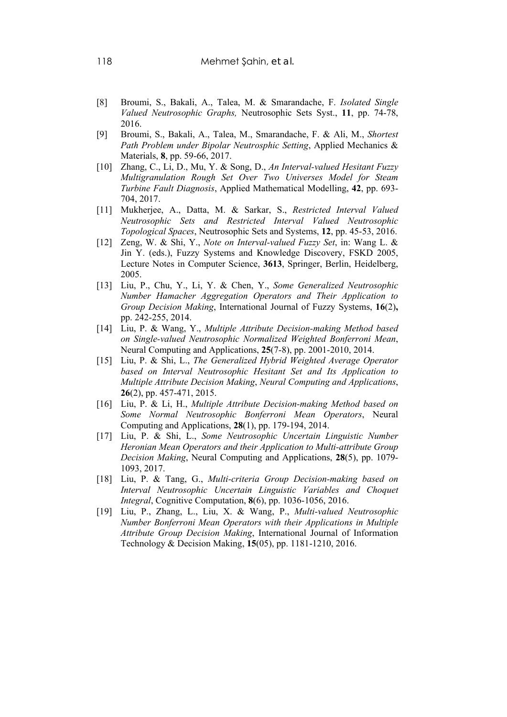- [8] Broumi, S., Bakali, A., Talea, M. & Smarandache, F. *Isolated Single Valued Neutrosophic Graphs,* Neutrosophic Sets Syst., **11**, pp. 74-78, 2016.
- [9] Broumi, S., Bakali, A., Talea, M., Smarandache, F. & Ali, M., *Shortest Path Problem under Bipolar Neutrosphic Setting*, Applied Mechanics & Materials, **8**, pp. 59-66, 2017.
- [10] Zhang, C., Li, D., Mu, Y. & Song, D., *An Interval-valued Hesitant Fuzzy Multigranulation Rough Set Over Two Universes Model for Steam Turbine Fault Diagnosis*, Applied Mathematical Modelling, **42**, pp. 693- 704, 2017.
- [11] Mukherjee, A., Datta, M. & Sarkar, S., *Restricted Interval Valued Neutrosophic Sets and Restricted Interval Valued Neutrosophic Topological Spaces*, Neutrosophic Sets and Systems, **12**, pp. 45-53, 2016.
- [12] Zeng, W. & Shi, Y., *Note on Interval-valued Fuzzy Set*, in: Wang L. & Jin Y. (eds.), Fuzzy Systems and Knowledge Discovery, FSKD 2005, Lecture Notes in Computer Science, **3613**, Springer, Berlin, Heidelberg, 2005.
- [13] Liu, P., Chu, Y., Li, Y. & Chen, Y., *Some Generalized Neutrosophic Number Hamacher Aggregation Operators and Their Application to Group Decision Making*, International Journal of Fuzzy Systems, **16**(2)**,**  pp. 242-255, 2014.
- [14] Liu, P. & Wang, Y., *Multiple Attribute Decision-making Method based on Single-valued Neutrosophic Normalized Weighted Bonferroni Mean*, Neural Computing and Applications, **25**(7-8), pp. 2001-2010, 2014.
- [15] Liu, P. & Shi, L., *The Generalized Hybrid Weighted Average Operator based on Interval Neutrosophic Hesitant Set and Its Application to Multiple Attribute Decision Making*, *Neural Computing and Applications*, **26**(2), pp. 457-471, 2015.
- [16] Liu, P. & Li, H., *Multiple Attribute Decision-making Method based on Some Normal Neutrosophic Bonferroni Mean Operators*, Neural Computing and Applications, **28**(1), pp. 179-194, 2014.
- [17] Liu, P. & Shi, L., *Some Neutrosophic Uncertain Linguistic Number Heronian Mean Operators and their Application to Multi-attribute Group Decision Making*, Neural Computing and Applications, **28**(5), pp. 1079- 1093, 2017.
- [18] Liu, P. & Tang, G., *Multi-criteria Group Decision-making based on Interval Neutrosophic Uncertain Linguistic Variables and Choquet Integral*, Cognitive Computation, **8**(6), pp. 1036-1056, 2016.
- [19] Liu, P., Zhang, L., Liu, X. & Wang, P., *Multi-valued Neutrosophic Number Bonferroni Mean Operators with their Applications in Multiple Attribute Group Decision Making*, International Journal of Information Technology & Decision Making, **15**(05), pp. 1181-1210, 2016.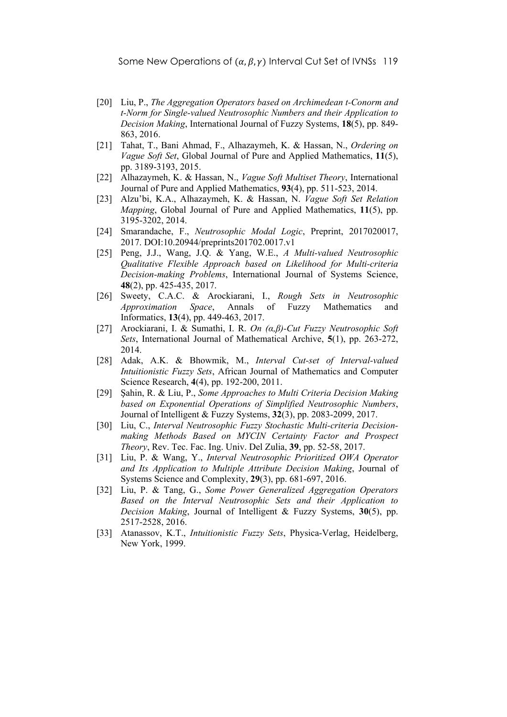- [20] Liu, P., *The Aggregation Operators based on Archimedean t-Conorm and t-Norm for Single-valued Neutrosophic Numbers and their Application to Decision Making*, International Journal of Fuzzy Systems, **18**(5), pp. 849- 863, 2016.
- [21] Tahat, T., Bani Ahmad, F., Alhazaymeh, K. & Hassan, N., *Ordering on Vague Soft Set*, Global Journal of Pure and Applied Mathematics, **11**(5), pp. 3189-3193, 2015.
- [22] Alhazaymeh, K. & Hassan, N., *Vague Soft Multiset Theory*, International Journal of Pure and Applied Mathematics, **93**(4), pp. 511-523, 2014.
- [23] Alzu'bi, K.A., Alhazaymeh, K. & Hassan, N. *Vague Soft Set Relation Mapping*, Global Journal of Pure and Applied Mathematics, **11**(5), pp. 3195-3202, 2014.
- [24] Smarandache, F., *Neutrosophic Modal Logic*, Preprint, 2017020017, 2017. DOI:10.20944/preprints201702.0017.v1
- [25] Peng, J.J., Wang, J.Q. & Yang, W.E., *A Multi-valued Neutrosophic Qualitative Flexible Approach based on Likelihood for Multi-criteria Decision-making Problems*, International Journal of Systems Science, **48**(2), pp. 425-435, 2017.
- [26] Sweety, C.A.C. & Arockiarani, I., *Rough Sets in Neutrosophic Approximation Space*, Annals of Fuzzy Mathematics and Informatics, **13**(4), pp. 449-463, 2017.
- [27] Arockiarani, I. & Sumathi, I. R. *On (α,β)-Cut Fuzzy Neutrosophic Soft Sets*, International Journal of Mathematical Archive, **5**(1), pp. 263-272, 2014.
- [28] Adak, A.K. & Bhowmik, M., *Interval Cut-set of Interval-valued Intuitionistic Fuzzy Sets*, African Journal of Mathematics and Computer Science Research, **4**(4), pp. 192-200, 2011.
- [29] Şahin, R. & Liu, P., *Some Approaches to Multi Criteria Decision Making based on Exponential Operations of Simplified Neutrosophic Numbers*, Journal of Intelligent & Fuzzy Systems, **32**(3), pp. 2083-2099, 2017.
- [30] Liu, C., *Interval Neutrosophic Fuzzy Stochastic Multi-criteria Decisionmaking Methods Based on MYCIN Certainty Factor and Prospect Theory*, Rev. Tec. Fac. Ing. Univ. Del Zulia, **39**, pp. 52-58, 2017.
- [31] Liu, P. & Wang, Y., *Interval Neutrosophic Prioritized OWA Operator and Its Application to Multiple Attribute Decision Making*, Journal of Systems Science and Complexity, **29**(3), pp. 681-697, 2016.
- [32] Liu, P. & Tang, G., *Some Power Generalized Aggregation Operators Based on the Interval Neutrosophic Sets and their Application to Decision Making*, Journal of Intelligent & Fuzzy Systems, **30**(5), pp. 2517-2528, 2016.
- [33] Atanassov, K.T., *Intuitionistic Fuzzy Sets*, Physica-Verlag, Heidelberg, New York, 1999.